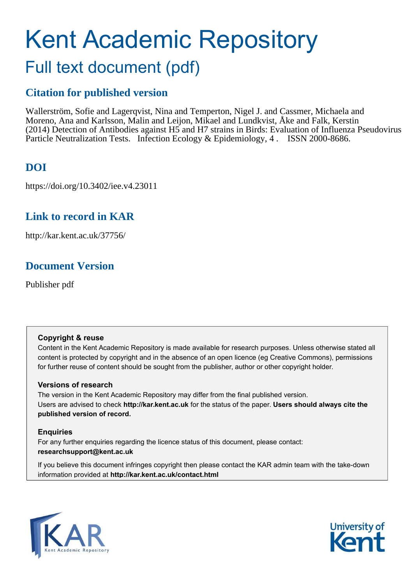# Kent Academic Repository Full text document (pdf)

# **Citation for published version**

Wallerström, Sofie and Lagerqvist, Nina and Temperton, Nigel J. and Cassmer, Michaela and Moreno, Ana and Karlsson, Malin and Leijon, Mikael and Lundkvist, Åke and Falk, Kerstin (2014) Detection of Antibodies against H5 and H7 strains in Birds: Evaluation of Influenza Pseudovirus Particle Neutralization Tests. Infection Ecology & Epidemiology, 4 . ISSN 2000-8686.

# **DOI**

https://doi.org/10.3402/iee.v4.23011

## **Link to record in KAR**

http://kar.kent.ac.uk/37756/

## **Document Version**

Publisher pdf

#### **Copyright & reuse**

Content in the Kent Academic Repository is made available for research purposes. Unless otherwise stated all content is protected by copyright and in the absence of an open licence (eg Creative Commons), permissions for further reuse of content should be sought from the publisher, author or other copyright holder.

#### **Versions of research**

The version in the Kent Academic Repository may differ from the final published version. Users are advised to check **http://kar.kent.ac.uk** for the status of the paper. **Users should always cite the published version of record.**

#### **Enquiries**

For any further enquiries regarding the licence status of this document, please contact: **researchsupport@kent.ac.uk**

If you believe this document infringes copyright then please contact the KAR admin team with the take-down information provided at **http://kar.kent.ac.uk/contact.html**



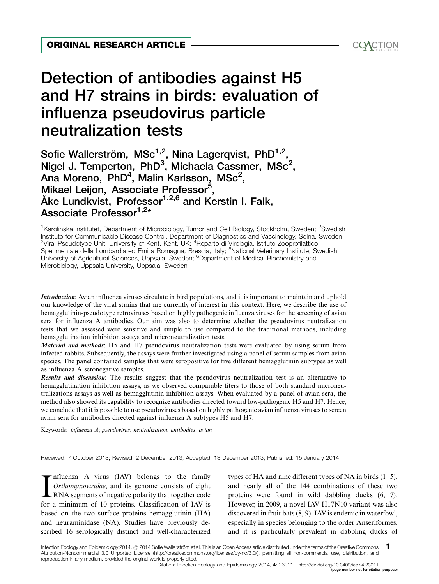# Detection of antibodies against H5 and H7 strains in birds: evaluation of influenza pseudovirus particle neutralization tests ORIGINAL RESEARCH ARTICLE<br>Detection of antibodies against H5<br>and H7 strains in birds: evaluation of<br>influenza pseudovirus particle

Sofie Wallerström, MSc $^{1,2}$ , Nina Lagerqvist, PhD $^{1,2}$ , Nigel J. Temperton, PhD $^3$ , Michaela Cassmer, MSc<sup>2</sup>, Ana Moreno, PhD<sup>4</sup>, Malin Karlsson, MSc<sup>2</sup>, Mikael Leijon, Associate Professor<sup>5</sup>, Åke Lundkvist, Professor<sup>1,2,6</sup> and Kerstin I. Falk, Associate Professor<sup>1,2[\\*](#page-7-0)</sup>

<sup>1</sup>Karolinska Institutet, Department of Microbiology, Tumor and Cell Biology, Stockholm, Sweden; <sup>2</sup>Swedish Institute for Communicable Disease Control, Department of Diagnostics and Vaccinology, Solna, Sweden; <sup>3</sup>Viral Pseudotype Unit, University of Kent, Kent, UK; <sup>4</sup>Reparto di Virologia, Istituto Zooprofilattico Sperimentale della Lombardia ed Emilia Romagna, Brescia, Italy; <sup>5</sup>National Veterinary Institute, Swedish University of Agricultural Sciences, Uppsala, Sweden; <sup>6</sup>Department of Medical Biochemistry and Microbiology, Uppsala University, Uppsala, Sweden

Introduction: Avian influenza viruses circulate in bird populations, and it is important to maintain and uphold our knowledge of the viral strains that are currently of interest in this context. Here, we describe the use of hemagglutinin-pseudotype retroviruses based on highly pathogenic influenza viruses for the screening of avian sera for influenza A antibodies. Our aim was also to determine whether the pseudovirus neutralization tests that we assessed were sensitive and simple to use compared to the traditional methods, including hemagglutination inhibition assays and microneutralization tests.

Material and methods: H5 and H7 pseudovirus neutralization tests were evaluated by using serum from infected rabbits. Subsequently, the assays were further investigated using a panel of serum samples from avian species. The panel contained samples that were seropositive for five different hemagglutinin subtypes as well as influenza A seronegative samples.

**Results and discussion:** The results suggest that the pseudovirus neutralization test is an alternative to hemagglutination inhibition assays, as we observed comparable titers to those of both standard microneutralizations assays as well as hemagglutinin inhibition assays. When evaluated by a panel of avian sera, the method also showed its capability to recognize antibodies directed toward low-pathogenic H5 and H7. Hence, we conclude that it is possible to use pseudoviruses based on highly pathogenic avian influenza viruses to screen avian sera for antibodies directed against influenza A subtypes H5 and H7.

Keywords: influenza A; pseudovirus; neutralization; antibodies; avian

Received: 7 October 2013; Revised: 2 December 2013; Accepted: 13 December 2013; Published: 15 January 2014

Influenza A virus (IAV) belongs to the family<br>Orthomyxoviridae, and its genome consists of eight<br>RNA segments of negative polarity that together code<br>for a minimum of 10 proteins. Classification of IAV is nfluenza A virus (IAV) belongs to the family Orthomyxoviridae, and its genome consists of eight RNA segments of negative polarity that together code based on the two surface proteins hemagglutinin (HA) and neuraminidase (NA). Studies have previously described 16 serologically distinct and well-characterized types of HA and nine different types of NA in birds  $(1-5)$ , and nearly all of the 144 combinations of these two proteins were found in wild dabbling ducks (6, 7). However, in 2009, a novel IAV H17N10 variant was also discovered in fruit bats (8, 9). IAV is endemic in waterfowl, especially in species belonging to the order Anseriformes, and it is particularly prevalent in dabbling ducks of

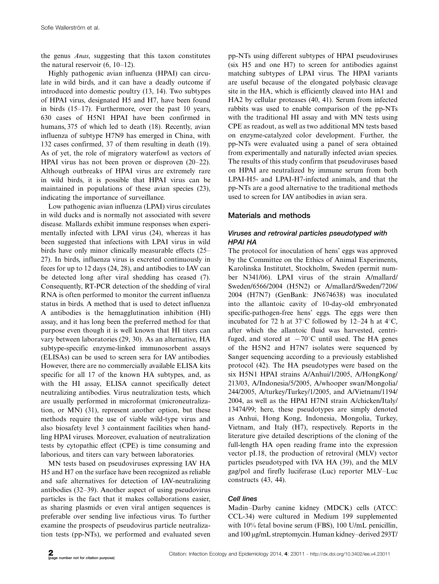the genus Anas, suggesting that this taxon constitutes the natural reservoir  $(6, 10-12)$ .

Highly pathogenic avian influenza (HPAI) can circulate in wild birds, and it can have a deadly outcome if introduced into domestic poultry (13, 14). Two subtypes of HPAI virus, designated H5 and H7, have been found in birds (15-17). Furthermore, over the past 10 years, 630 cases of H5N1 HPAI have been confirmed in humans, 375 of which led to death (18). Recently, avian influenza of subtype H7N9 has emerged in China, with 132 cases confirmed, 37 of them resulting in death (19). As of yet, the role of migratory waterfowl as vectors of HPAI virus has not been proven or disproven (20-22). Although outbreaks of HPAI virus are extremely rare in wild birds, it is possible that HPAI virus can be maintained in populations of these avian species (23), indicating the importance of surveillance.

Low pathogenic avian influenza (LPAI) virus circulates in wild ducks and is normally not associated with severe disease. Mallards exhibit immune responses when experimentally infected with LPAI virus (24), whereas it has been suggested that infections with LPAI virus in wild birds have only minor clinically measurable effects (25- 27). In birds, influenza virus is excreted continuously in feces for up to 12 days (24, 28), and antibodies to IAV can be detected long after viral shedding has ceased (7). Consequently, RT-PCR detection of the shedding of viral RNA is often performed to monitor the current influenza status in birds. A method that is used to detect influenza A antibodies is the hemagglutination inhibition (HI) assay, and it has long been the preferred method for that purpose even though it is well known that HI titers can vary between laboratories (29, 30). As an alternative, HA subtype-specific enzyme-linked immunosorbent assays (ELISAs) can be used to screen sera for IAV antibodies. However, there are no commercially available ELISA kits specific for all 17 of the known HA subtypes, and, as with the HI assay, ELISA cannot specifically detect neutralizing antibodies. Virus neutralization tests, which are usually performed in microformat (microneutralization, or MN) (31), represent another option, but these methods require the use of viable wild-type virus and also biosafety level 3 containment facilities when handling HPAI viruses. Moreover, evaluation of neutralization tests by cytopathic effect (CPE) is time consuming and laborious, and titers can vary between laboratories.

MN tests based on pseudoviruses expressing IAV HA H5 and H7 on the surface have been recognized as reliable and safe alternatives for detection of IAV-neutralizing antibodies (32-39). Another aspect of using pseudovirus particles is the fact that it makes collaborations easier, as sharing plasmids or even viral antigen sequences is preferable over sending live infectious virus. To further examine the prospects of pseudovirus particle neutralization tests (pp-NTs), we performed and evaluated seven

pp-NTs using different subtypes of HPAI pseudoviruses (six H5 and one H7) to screen for antibodies against matching subtypes of LPAI virus. The HPAI variants are useful because of the elongated polybasic cleavage site in the HA, which is efficiently cleaved into HA1 and HA2 by cellular proteases (40, 41). Serum from infected rabbits was used to enable comparison of the pp-NTs with the traditional HI assay and with MN tests using CPE as readout, as well as two additional MN tests based on enzyme-catalyzed color development. Further, the pp-NTs were evaluated using a panel of sera obtained from experimentally and naturally infected avian species. The results of this study confirm that pseudoviruses based on HPAI are neutralized by immune serum from both LPAI-H5- and LPAI-H7-infected animals, and that the pp-NTs are a good alternative to the traditional methods used to screen for IAV antibodies in avian sera.

#### Materials and methods

#### Viruses and retroviral particles pseudotyped with HPAI HA

The protocol for inoculation of hens' eggs was approved by the Committee on the Ethics of Animal Experiments, Karolinska Institutet, Stockholm, Sweden (permit number N341/06). LPAI virus of the strain A/mallard/ Sweden/6566/2004 (H5N2) or A/mallard/Sweden/7206/ 2004 (H7N7) (GenBank: JN674638) was inoculated into the allantoic cavity of 10-day-old embryonated specific-pathogen-free hens' eggs. The eggs were then incubated for 72 h at  $37^{\circ}$ C followed by 12-24 h at 4 $^{\circ}$ C, after which the allantoic fluid was harvested, centrifuged, and stored at  $-70^{\circ}$ C until used. The HA genes of the H5N2 and H7N7 isolates were sequenced by Sanger sequencing according to a previously established protocol (42). The HA pseudotypes were based on the six H5N1 HPAI strains A/Anhui/1/2005, A/HongKong/ 213/03, A/Indonesia/5/2005, A/whooper swan/Mongolia/ 244/2005, A/turkey/Turkey/1/2005, and A/Vietnam/1194/ 2004, as well as the HPAI H7NI strain A/chicken/Italy/ 13474/99; here, these pseudotypes are simply denoted as Anhui, Hong Kong, Indonesia, Mongolia, Turkey, Vietnam, and Italy (H7), respectively. Reports in the literature give detailed descriptions of the cloning of the full-length HA open reading frame into the expression vector pI.18, the production of retroviral (MLV) vector particles pseudotyped with IVA HA (39), and the MLV gag/pol and firefly luciferase (Luc) reporter MLV-Luc constructs (43, 44).

#### Cell lines

Madin-Darby canine kidney (MDCK) cells (ATCC: CCL-34) were cultured in Medium 199 supplemented with 10% fetal bovine serum (FBS), 100 U/mL penicillin, and 100 µg/mL streptomycin. Human kidney-derived 293T/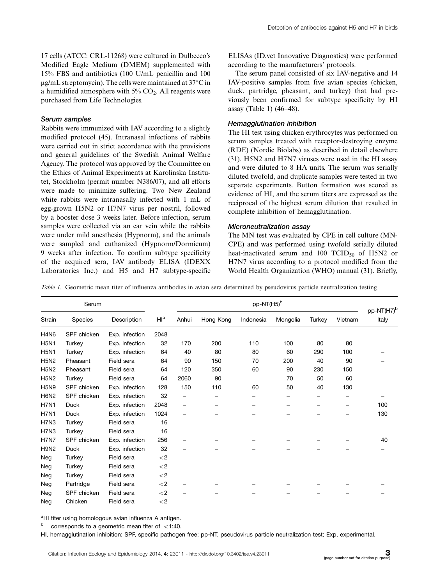17 cells (ATCC: CRL-11268) were cultured in Dulbecco's Modified Eagle Medium (DMEM) supplemented with 15% FBS and antibiotics (100 U/mL penicillin and 100  $\mu$ g/mL streptomycin). The cells were maintained at 37 $\degree$ C in a humidified atmosphere with  $5\%$  CO<sub>2</sub>. All reagents were purchased from Life Technologies.

#### Serum samples

Rabbits were immunized with IAV according to a slightly modified protocol (45). Intranasal infections of rabbits were carried out in strict accordance with the provisions and general guidelines of the Swedish Animal Welfare Agency. The protocol was approved by the Committee on the Ethics of Animal Experiments at Karolinska Institutet, Stockholm (permit number N386/07), and all efforts were made to minimize suffering. Two New Zealand white rabbits were intranasally infected with 1 mL of egg-grown H5N2 or H7N7 virus per nostril, followed by a booster dose 3 weeks later. Before infection, serum samples were collected via an ear vein while the rabbits were under mild anesthesia (Hypnorm), and the animals were sampled and euthanized (Hypnorm/Dormicum) 9 weeks after infection. To confirm subtype specificity of the acquired sera, IAV antibody ELISA (IDEXX Laboratories Inc.) and H5 and H7 subtype-specific ELISAs (ID.vet Innovative Diagnostics) were performed according to the manufacturers' protocols.

The serum panel consisted of six IAV-negative and 14 IAV-positive samples from five avian species (chicken, duck, partridge, pheasant, and turkey) that had previously been confirmed for subtype specificity by HI assay (Table 1) (46-48).

#### Hemagglutination inhibition

The HI test using chicken erythrocytes was performed on serum samples treated with receptor-destroying enzyme (RDE) (Nordic Biolabs) as described in detail elsewhere (31). H5N2 and H7N7 viruses were used in the HI assay and were diluted to 8 HA units. The serum was serially diluted twofold, and duplicate samples were tested in two separate experiments. Button formation was scored as evidence of HI, and the serum titers are expressed as the reciprocal of the highest serum dilution that resulted in complete inhibition of hemagglutination.

#### Microneutralization assay

The MN test was evaluated by CPE in cell culture (MN-CPE) and was performed using twofold serially diluted heat-inactivated serum and 100  $TCID_{50}$  of H5N2 or H7N7 virus according to a protocol modified from the World Health Organization (WHO) manual (31). Briefly,

Table 1. Geometric mean titer of influenza antibodies in avian sera determined by pseudovirus particle neutralization testing

| Serum       |             |                |                |                          |           |                          |                          |        |                          |                                 |
|-------------|-------------|----------------|----------------|--------------------------|-----------|--------------------------|--------------------------|--------|--------------------------|---------------------------------|
| Strain      | Species     | Description    | H <sup>a</sup> | Anhui                    | Hong Kong | Indonesia                | Mongolia                 | Turkey | Vietnam                  | pp-NT(H7) <sup>b</sup><br>Italy |
| <b>H4N6</b> | SPF chicken | Exp. infection | 2048           | -                        |           |                          |                          |        |                          |                                 |
| <b>H5N1</b> | Turkey      | Exp. infection | 32             | 170                      | 200       | 110                      | 100                      | 80     | 80                       |                                 |
| <b>H5N1</b> | Turkey      | Exp. infection | 64             | 40                       | 80        | 80                       | 60                       | 290    | 100                      |                                 |
| <b>H5N2</b> | Pheasant    | Field sera     | 64             | 90                       | 150       | 70                       | 200                      | 40     | 90                       |                                 |
| <b>H5N2</b> | Pheasant    | Field sera     | 64             | 120                      | 350       | 60                       | 90                       | 230    | 150                      |                                 |
| <b>H5N2</b> | Turkey      | Field sera     | 64             | 2060                     | 90        | $\overline{\phantom{m}}$ | 70                       | 50     | 60                       |                                 |
| <b>H5N9</b> | SPF chicken | Exp. infection | 128            | 150                      | 110       | 60                       | 50                       | 40     | 130                      |                                 |
| <b>H6N2</b> | SPF chicken | Exp. infection | 32             | -                        |           |                          |                          |        |                          |                                 |
| <b>H7N1</b> | Duck        | Exp. infection | 2048           | $\qquad \qquad -$        |           | -                        |                          | -      | $\overline{\phantom{0}}$ | 100                             |
| <b>H7N1</b> | <b>Duck</b> | Exp. infection | 1024           | $\qquad \qquad -$        |           |                          |                          |        |                          | 130                             |
| H7N3        | Turkey      | Field sera     | 16             | $\qquad \qquad -$        |           | -                        | $\overline{\phantom{0}}$ |        |                          |                                 |
| H7N3        | Turkey      | Field sera     | 16             | —                        |           |                          |                          |        |                          |                                 |
| <b>H7N7</b> | SPF chicken | Exp. infection | 256            | -                        |           |                          | -                        |        |                          | 40                              |
| <b>H9N2</b> | <b>Duck</b> | Exp. infection | 32             | -                        |           |                          |                          |        |                          |                                 |
| Neg         | Turkey      | Field sera     | ${<}2$         | $\overline{\phantom{0}}$ |           |                          |                          |        |                          |                                 |
| Neg         | Turkey      | Field sera     | $<$ 2          | $\overline{\phantom{m}}$ |           |                          |                          |        |                          |                                 |
| Neg         | Turkey      | Field sera     | $<$ 2          | $\overline{\phantom{m}}$ |           | -                        | -                        | -      |                          |                                 |
| Neg         | Partridge   | Field sera     | $<$ 2          | $\qquad \qquad -$        |           | -                        | -                        | -      |                          |                                 |
| Neg         | SPF chicken | Field sera     | $<$ 2          |                          |           |                          |                          |        |                          |                                 |
| Neg         | Chicken     | Field sera     | $<$ 2          | -                        |           |                          |                          |        |                          |                                 |

<sup>a</sup>HI titer using homologous avian influenza A antigen.

 $b$  – corresponds to a geometric mean titer of  $\,$  < 1:40.

HI, hemagglutination inhibition; SPF, specific pathogen free; pp-NT, pseudovirus particle neutralization test; Exp, experimental.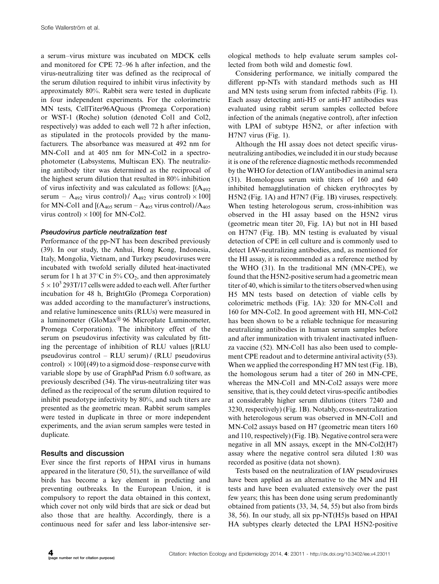a serum-virus mixture was incubated on MDCK cells and monitored for CPE 72-96 h after infection, and the virus-neutralizing titer was defined as the reciprocal of the serum dilution required to inhibit virus infectivity by approximately 80%. Rabbit sera were tested in duplicate in four independent experiments. For the colorimetric MN tests, CellTiter96AQuous (Promega Corporation) or WST-1 (Roche) solution (denoted Col1 and Col2, respectively) was added to each well 72 h after infection, as stipulated in the protocols provided by the manufacturers. The absorbance was measured at 492 nm for MN-Col1 and at 405 nm for MN-Col2 in a spectrophotometer (Labsystems, Multiscan EX). The neutralizing antibody titer was determined as the reciprocal of the highest serum dilution that resulted in 80% inhibition of virus infectivity and was calculated as follows:  $[(A_{492})$ serum -  $A_{492}$  virus control) /  $A_{492}$  virus control)  $\times$  100] for MN-Col1 and  $[(A_{405}$  serum  $-A_{405}$  virus control)  $/A_{405}$ virus control)  $\times$  100] for MN-Col2.

#### Pseudovirus particle neutralization test

Performance of the pp-NT has been described previously (39). In our study, the Anhui, Hong Kong, Indonesia, Italy, Mongolia, Vietnam, and Turkey pseudoviruses were incubated with twofold serially diluted heat-inactivated serum for 1 h at  $37^{\circ}$ C in 5% CO<sub>2</sub>, and then approximately  $5 \times 10^3$  293T/17 cells were added to each well. After further incubation for 48 h, BrightGlo (Promega Corporation) was added according to the manufacturer's instructions, and relative luminescence units (RLUs) were measured in a luminometer (GloMax $\textcircled{\tiny{8}}$  96 Microplate Luminometer, Promega Corporation). The inhibitory effect of the serum on pseudovirus infectivity was calculated by fitting the percentage of inhibition of RLU values [(RLU pseudovirus control - RLU serum) / (RLU pseudovirus control)  $\times 100$ ] (49) to a sigmoid dose–response curve with variable slope by use of GraphPad Prism 6.0 software, as previously described (34). The virus-neutralizing titer was defined as the reciprocal of the serum dilution required to inhibit pseudotype infectivity by 80%, and such titers are presented as the geometric mean. Rabbit serum samples were tested in duplicate in three or more independent experiments, and the avian serum samples were tested in duplicate.

#### Results and discussion

Ever since the first reports of HPAI virus in humans appeared in the literature (50, 51), the surveillance of wild birds has become a key element in predicting and preventing outbreaks. In the European Union, it is compulsory to report the data obtained in this context, which cover not only wild birds that are sick or dead but also those that are healthy. Accordingly, there is a continuous need for safer and less labor-intensive serological methods to help evaluate serum samples collected from both wild and domestic fowl.

Considering performance, we initially compared the different pp-NTs with standard methods such as HI and MN tests using serum from infected rabbits (Fig. 1). Each assay detecting anti-H5 or anti-H7 antibodies was evaluated using rabbit serum samples collected before infection of the animals (negative control), after infection with LPAI of subtype H5N2, or after infection with H7N7 virus (Fig. 1).

Although the HI assay does not detect specific virusneutralizing antibodies, we included it in our study because it is one of the reference diagnostic methods recommended by the WHO for detection of IAV antibodies in animal sera (31). Homologous serum with titers of 160 and 640 inhibited hemagglutination of chicken erythrocytes by H5N2 (Fig. 1A) and H7N7 (Fig. 1B) viruses, respectively. When testing heterologous serum, cross-inhibition was observed in the HI assay based on the H5N2 virus (geometric mean titer 20, Fig. 1A) but not in HI based on H7N7 (Fig. 1B). MN testing is evaluated by visual detection of CPE in cell culture and is commonly used to detect IAV-neutralizing antibodies, and, as mentioned for the HI assay, it is recommended as a reference method by the WHO (31). In the traditional MN (MN-CPE), we found that the H5N2-positive serum had a geometric mean titer of 40, which is similar to the titers observedwhen using H5 MN tests based on detection of viable cells by colorimetric methods (Fig. 1A): 320 for MN-Col1 and 160 for MN-Col2. In good agreement with HI, MN-Col2 has been shown to be a reliable technique for measuring neutralizing antibodies in human serum samples before and after immunization with trivalent inactivated influenza vaccine (52). MN-Col1 has also been used to complement CPE readout and to determine antiviral activity (53). When we applied the corresponding H7 MN test (Fig. 1B), the homologous serum had a titer of 260 in MN-CPE, whereas the MN-Col1 and MN-Col2 assays were more sensitive, that is, they could detect virus-specific antibodies at considerably higher serum dilutions (titers 7240 and 3230, respectively) (Fig. 1B). Notably, cross-neutralization with heterologous serum was observed in MN-Col1 and MN-Col2 assays based on H7 (geometric mean titers 160 and 110, respectively) (Fig. 1B). Negative control sera were negative in all MN assays, except in the MN-Col2(H7) assay where the negative control sera diluted 1:80 was recorded as positive (data not shown).

Tests based on the neutralization of IAV pseudoviruses have been applied as an alternative to the MN and HI tests and have been evaluated extensively over the past few years; this has been done using serum predominantly obtained from patients (33, 34, 54, 55) but also from birds 38, 56). In our study, all six pp-NT(H5)s based on HPAI HA subtypes clearly detected the LPAI H5N2-positive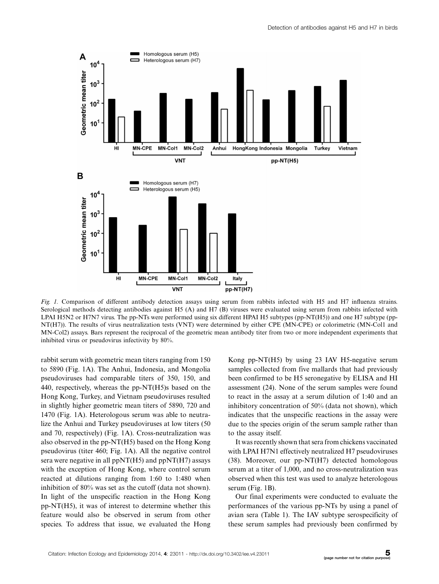

Fig. 1. Comparison of different antibody detection assays using serum from rabbits infected with H5 and H7 influenza strains. Serological methods detecting antibodies against H5 (A) and H7 (B) viruses were evaluated using serum from rabbits infected with LPAI H5N2 or H7N7 virus. The pp-NTs were performed using six different HPAI H5 subtypes (pp-NT(H5)) and one H7 subtype (pp-NT(H7)). The results of virus neutralization tests (VNT) were determined by either CPE (MN-CPE) or colorimetric (MN-Col1 and MN-Col2) assays. Bars represent the reciprocal of the geometric mean antibody titer from two or more independent experiments that inhibited virus or pseudovirus infectivity by 80%.

rabbit serum with geometric mean titers ranging from 150 to 5890 (Fig. 1A). The Anhui, Indonesia, and Mongolia pseudoviruses had comparable titers of 350, 150, and 440, respectively, whereas the pp-NT(H5)s based on the Hong Kong, Turkey, and Vietnam pseudoviruses resulted in slightly higher geometric mean titers of 5890, 720 and 1470 (Fig. 1A). Heterologous serum was able to neutralize the Anhui and Turkey pseudoviruses at low titers (50 and 70, respectively) (Fig. 1A). Cross-neutralization was also observed in the pp-NT(H5) based on the Hong Kong pseudovirus (titer 460; Fig. 1A). All the negative control sera were negative in all  $ppNT(H5)$  and  $ppNT(H7)$  assays with the exception of Hong Kong, where control serum reacted at dilutions ranging from 1:60 to 1:480 when inhibition of 80% was set as the cutoff (data not shown). In light of the unspecific reaction in the Hong Kong pp-NT(H5), it was of interest to determine whether this feature would also be observed in serum from other species. To address that issue, we evaluated the Hong Kong pp-NT(H5) by using 23 IAV H5-negative serum samples collected from five mallards that had previously been confirmed to be H5 seronegative by ELISA and HI assessment (24). None of the serum samples were found to react in the assay at a serum dilution of 1:40 and an inhibitory concentration of 50% (data not shown), which indicates that the unspecific reactions in the assay were due to the species origin of the serum sample rather than to the assay itself.

It was recently shown that sera from chickens vaccinated with LPAI H7N1 effectively neutralized H7 pseudoviruses (38). Moreover, our pp-NT(H7) detected homologous serum at a titer of 1,000, and no cross-neutralization was observed when this test was used to analyze heterologous serum (Fig. 1B).

Our final experiments were conducted to evaluate the performances of the various pp-NTs by using a panel of avian sera (Table 1). The IAV subtype serospecificity of these serum samples had previously been confirmed by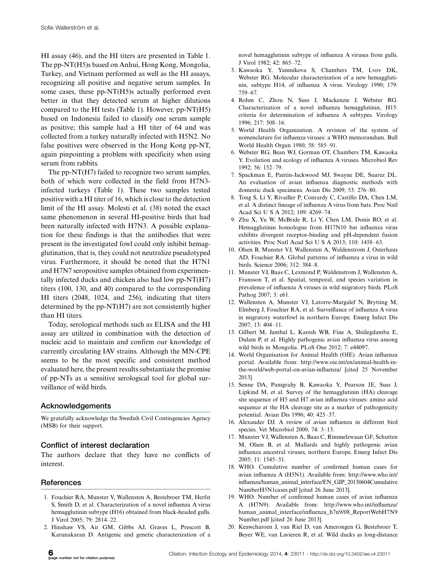HI assay (46), and the HI titers are presented in Table 1. The pp-NT(H5)s based on Anhui, Hong Kong, Mongolia, Turkey, and Vietnam performed as well as the HI assays, recognizing all positive and negative serum samples. In some cases, these pp-NT(H5)s actually performed even better in that they detected serum at higher dilutions compared to the HI tests (Table 1). However, pp-NT(H5) based on Indonesia failed to classify one serum sample as positive; this sample had a HI titer of 64 and was collected from a turkey naturally infected with H5N2. No false positives were observed in the Hong Kong pp-NT, again pinpointing a problem with specificity when using serum from rabbits.

The pp-NT(H7) failed to recognize two serum samples, both of which were collected in the field from H7N3 infected turkeys (Table 1). These two samples tested positive with a HI titer of 16, which is close to the detection limit of the HI assay. Molesti et al. (38) noted the exact same phenomenon in several HI-positive birds that had been naturally infected with H7N3. A possible explanation for these findings is that the antibodies that were present in the investigated fowl could only inhibit hemagglutination, that is, they could not neutralize pseudotyped virus. Furthermore, it should be noted that the H7N1 and H7N7 seropositive samples obtained from experimentally infected ducks and chicken also had low pp-NT(H7) titers (100, 130, and 40) compared to the corresponding HI titers (2048, 1024, and 256), indicating that titers determined by the pp-NT(H7) are not consistently higher than HI titers.

Today, serological methods such as ELISA and the HI assay are utilized in combination with the detection of nucleic acid to maintain and confirm our knowledge of currently circulating IAV strains. Although the MN-CPE seems to be the most specific and consistent method evaluated here, the present results substantiate the promise of pp-NTs as a sensitive serological tool for global surveillance of wild birds.

#### Acknowledgements

We gratefully acknowledge the Swedish Civil Contingencies Agency (MSB) for their support.

#### Conflict of interest declaration

The authors declare that they have no conflicts of interest.

#### **References**

- 1. Fouchier RA, Munster V, Wallensten A, Bestebroer TM, Herfst S, Smith D, et al. Characterization of a novel influenza A virus hemagglutinin subtype (H16) obtained from black-headed gulls. J Virol 2005; 79: 2814-22.
- 2. Hinshaw VS, Air GM, Gibbs AJ, Graves L, Prescott B, Karunakaran D. Antigenic and genetic characterization of a

novel hemagglutinin subtype of influenza A viruses from gulls. J Virol 1982; 42: 865-72.

- 3. Kawaoka Y, Yamnikova S, Chambers TM, Lvov DK, Webster RG. Molecular characterization of a new hemagglutinin, subtype H14, of influenza A virus. Virology 1990; 179: 759-67.
- 4. Rohm C, Zhou N, Suss J, Mackenzie J, Webster RG. Characterization of a novel influenza hemagglutinin, H15: criteria for determination of influenza A subtypes. Virology 1996; 217: 508-16.
- 5. World Health Organization. A revision of the system of nomenclature for influenza viruses: a WHO memorandum. Bull World Health Organ 1980; 58: 585-91.
- 6. Webster RG, Bean WJ, Gorman OT, Chambers TM, Kawaoka Y. Evolution and ecology of influenza A viruses. Microbiol Rev 1992; 56: 152-79.
- 7. Spackman E, Pantin-Jackwood MJ, Swayne DE, Suarez DL. An evaluation of avian influenza diagnostic methods with domestic duck specimens. Avian Dis 2009; 53: 276-80.
- 8. Tong S, Li Y, Rivailler P, Conrardy C, Castillo DA, Chen LM, et al. A distinct lineage of influenza A virus from bats. Proc Natl Acad Sci U S A 2012; 109: 4269-74.
- 9. Zhu X, Yu W, McBride R, Li Y, Chen LM, Donis RO, et al. Hemagglutinin homologue from H17N10 bat influenza virus exhibits divergent receptor-binding and pH-dependent fusion activities. Proc Natl Acad Sci U S A 2013; 110: 1458-63.
- 10. Olsen B, Munster VJ, Wallensten A, Waldenstrom J, Osterhaus AD, Fouchier RA. Global patterns of influenza a virus in wild birds. Science 2006; 312: 384-8.
- 11. Munster VJ, Baas C, Lexmond P, Waldenstrom J, Wallensten A, Fransson T, et al. Spatial, temporal, and species variation in prevalence of influenza A viruses in wild migratory birds. PLoS Pathog 2007; 3: e61.
- 12. Wallensten A, Munster VJ, Latorre-Margalef N, Brytting M, Elmberg J, Fouchier RA, et al. Surveillance of influenza A virus in migratory waterfowl in northern Europe. Emerg Infect Dis 2007; 13: 404-11.
- 13. Gilbert M, Jambal L, Karesh WB, Fine A, Shiilegdamba E, Dulam P, et al. Highly pathogenic avian influenza virus among wild birds in Mongolia. PLoS One 2012; 7: e44097.
- 14. World Organisation for Animal Health (OIE). Avian influenza portal. Available from: [http://www.oie.int/en/animal-health-in](http://www.oie.int/en/animal-health-in-the-world/web-portal-on-avian-influenza/)[the-world/web-portal-on-avian-influenza/](http://www.oie.int/en/animal-health-in-the-world/web-portal-on-avian-influenza/) [cited 25 November 2013].
- 15. Senne DA, Panigrahy B, Kawaoka Y, Pearson JE, Suss J, Lipkind M, et al. Survey of the hemagglutinin (HA) cleavage site sequence of H5 and H7 avian influenza viruses: amino acid sequence at the HA cleavage site as a marker of pathogenicity potential. Avian Dis 1996; 40: 425-37.
- 16. Alexander DJ. A review of avian influenza in different bird species. Vet Microbiol 2000; 74: 3-13.
- 17. Munster VJ, Wallensten A, Baas C, Rimmelzwaan GF, Schutten M, Olsen B, et al. Mallards and highly pathogenic avian influenza ancestral viruses, northern Europe. Emerg Infect Dis 2005; 11: 1545-51.
- 18. WHO. Cumulative number of confirmed human cases for avian influenza A (H5N1). Available from: [http://www.who.int/](http://www.who.int/influenza/human_animal_interface/EN_GIP_20130604CumulativeNumberH5N1cases.pdf) [influenza/human\\_animal\\_interface/EN\\_GIP\\_20130604Cumulative](http://www.who.int/influenza/human_animal_interface/EN_GIP_20130604CumulativeNumberH5N1cases.pdf) [NumberH5N1cases.pdf](http://www.who.int/influenza/human_animal_interface/EN_GIP_20130604CumulativeNumberH5N1cases.pdf) [cited 26 June 2013].
- 19. WHO. Number of confirmed human cases of avian influenza A (H7N9). Available from: [http://www.who.int/influenza/](http://www.who.int/influenza/human_animal_interface/influenza_h7n9/08_ReportWebH7N9Number.pdf) [human\\_animal\\_interface/influenza\\_h7n9/08\\_ReportWebH7N9](http://www.who.int/influenza/human_animal_interface/influenza_h7n9/08_ReportWebH7N9Number.pdf) [Number.pdf](http://www.who.int/influenza/human_animal_interface/influenza_h7n9/08_ReportWebH7N9Number.pdf) [cited 26 June 2013].
- 20. Keawcharoen J, van Riel D, van Amerongen G, Bestebroer T, Beyer WE, van Lavieren R, et al. Wild ducks as long-distance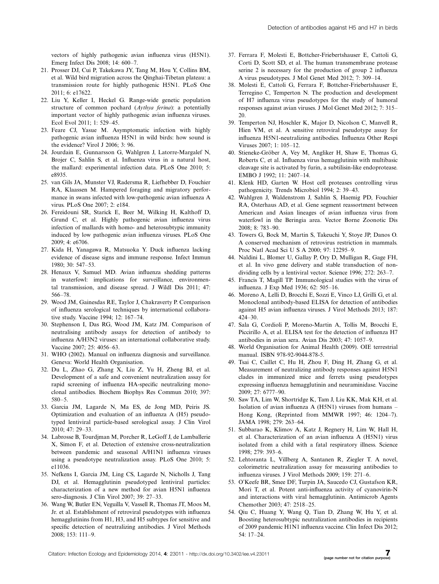<span id="page-7-0"></span>vectors of highly pathogenic avian influenza virus (H5N1). Emerg Infect Dis 2008; 14: 600-7.

- 21. Prosser DJ, Cui P, Takekawa JY, Tang M, Hou Y, Collins BM, et al. Wild bird migration across the Qinghai-Tibetan plateau: a transmission route for highly pathogenic H5N1. PLoS One 2011; 6: e17622.
- 22. Liu Y, Keller I, Heckel G. Range-wide genetic population structure of common pochard (Aythya ferina): a potentially important vector of highly pathogenic avian influenza viruses. Ecol Evol 2011; 1: 529-45.
- 23. Feare CJ, Yasue M. Asymptomatic infection with highly pathogenic avian influenza H5N1 in wild birds: how sound is the evidence? Virol J 2006; 3: 96.
- 24. Jourdain E, Gunnarsson G, Wahlgren J, Latorre-Margalef N, Brojer C, Sahlin S, et al. Influenza virus in a natural host, the mallard: experimental infection data. PLoS One 2010; 5: e8935.
- 25. van Gils JA, Munster VJ, Radersma R, Liefhebber D, Fouchier RA, Klaassen M. Hampered foraging and migratory performance in swans infected with low-pathogenic avian influenza A virus. PLoS One 2007; 2: e184.
- 26. Fereidouni SR, Starick E, Beer M, Wilking H, Kalthoff D, Grund C, et al. Highly pathogenic avian influenza virus infection of mallards with homo- and heterosubtypic immunity induced by low pathogenic avian influenza viruses. PLoS One 2009; 4: e6706.
- 27. Kida H, Yanagawa R, Matsuoka Y. Duck influenza lacking evidence of disease signs and immune response. Infect Immun 1980; 30: 547-53.
- 28. Henaux V, Samuel MD. Avian influenza shedding patterns in waterfowl: implications for surveillance, environmental transmission, and disease spread. J Wildl Dis 2011; 47: 566-78.
- 29. Wood JM, Gainesdas RE, Taylor J, Chakraverty P. Comparison of influenza serological techniques by international collaborative study. Vaccine 1994; 12: 167-74.
- 30. Stephenson I, Das RG, Wood JM, Katz JM. Comparison of neutralising antibody assays for detection of antibody to influenza A/H3N2 viruses: an international collaborative study. Vaccine 2007; 25: 4056-63.
- 31. WHO (2002). Manual on influenza diagnosis and surveillance. Geneva: World Health Organisation.
- 32. Du L, Zhao G, Zhang X, Liu Z, Yu H, Zheng BJ, et al. Development of a safe and convenient neutralization assay for rapid screening of influenza HA-specific neutralizing monoclonal antibodies. Biochem Biophys Res Commun 2010; 397: 580-5.
- 33. Garcia JM, Lagarde N, Ma ES, de Jong MD, Peiris JS. Optimization and evaluation of an influenza A (H5) pseudotyped lentiviral particle-based serological assay. J Clin Virol 2010; 47: 29-33.
- 34. Labrosse B, Tourdjman M, Porcher R, LeGoff J, de Lamballerie X, Simon F, et al. Detection of extensive cross-neutralization between pandemic and seasonal A/H1N1 influenza viruses using a pseudotype neutralization assay. PLoS One 2010; 5: e11036.
- 35. Nefkens I, Garcia JM, Ling CS, Lagarde N, Nicholls J, Tang DJ, et al. Hemagglutinin pseudotyped lentiviral particles: characterization of a new method for avian H5N1 influenza sero-diagnosis. J Clin Virol 2007; 39: 27-33.
- 36. Wang W, Butler EN, Veguilla V, Vassell R, Thomas JT, Moos M, Jr. et al. Establishment of retroviral pseudotypes with influenza hemagglutinins from H1, H3, and H5 subtypes for sensitive and specific detection of neutralizing antibodies. J Virol Methods 2008; 153: 111-9.
- 37. Ferrara F, Molesti E, Bottcher-Friebertshauser E, Cattoli G, Corti D, Scott SD, et al. The human transmembrane protease serine 2 is necessary for the production of group 2 influenza A virus pseudotypes. J Mol Genet Med 2012; 7: 309-14.
- 38. Molesti E, Cattoli G, Ferrara F, Bottcher-Friebertshauser E, Terregino C, Temperton N. The production and development of H7 influenza virus pseudotypes for the study of humoral responses against avian viruses. J Mol Genet Med 2012; 7: 315- 20.
- 39. Temperton NJ, Hoschler K, Major D, Nicolson C, Manvell R, Hien VM, et al. A sensitive retroviral pseudotype assay for influenza H5N1-neutralizing antibodies. Influenza Other Respi Viruses 2007; 1: 105-12.
- 40. Stieneke-Gröber A, Vey M, Angliker H, Shaw E, Thomas G, Roberts C, et al. Influenza virus hemagglutinin with multibasic cleavage site is activated by furin, a subtilisin-like endoprotease. EMBO J 1992; 11: 2407-14.
- 41. Klenk HD, Garten W. Host cell proteases controlling virus pathogenicity. Trends Microbiol 1994; 2: 39-43.
- 42. Wahlgren J, Waldenstrom J, Sahlin S, Haemig PD, Fouchier RA, Osterhaus AD, et al. Gene segment reassortment between American and Asian lineages of avian influenza virus from waterfowl in the Beringia area. Vector Borne Zoonotic Dis 2008; 8: 783-90.
- 43. Towers G, Bock M, Martin S, Takeuchi Y, Stoye JP, Danos O. A conserved mechanism of retrovirus restriction in mammals. Proc Natl Acad Sci U S A 2000; 97: 12295-9.
- 44. Naldini L, Blomer U, Gallay P, Ory D, Mulligan R, Gage FH, et al. In vivo gene delivery and stable transduction of nondividing cells by a lentiviral vector. Science 1996; 272: 263-7.
- 45. Francis T, Magill TP. Immunological studies with the virus of influenza. J Exp Med 1936; 62: 505-16.
- 46. Moreno A, Lelli D, Brocchi E, Sozzi E, Vinco LJ, Grilli G, et al. Monoclonal antibody-based ELISA for detection of antibodies against H5 avian influenza viruses. J Virol Methods 2013; 187: 424-30.
- 47. Sala G, Cordioli P, Moreno-Martin A, Tollis M, Brocchi E, Piccirillo A, et al. ELISA test for the detection of influenza H7 antibodies in avian sera. Avian Dis 2003; 47: 1057-9.
- 48. World Organisation for Animal Health (2009). OIE terrestrial manual. ISBN 978-92-9044-878-5.
- 49. Tsai C, Caillet C, Hu H, Zhou F, Ding H, Zhang G, et al. Measurement of neutralizing antibody responses against H5N1 clades in immunized mice and ferrets using pseudotypes expressing influenza hemagglutinin and neuraminidase. Vaccine 2009; 27: 6777-90.
- 50. Saw TA, Lim W, Shortridge K, Tam J, Liu KK, Mak KH, et al. Isolation of avian influenza A (H5N1) viruses from humans -Hong Kong, (Reprinted from MMWR 1997; 46: 1204-7). JAMA 1998; 279: 263-64.
- 51. Subbarao K, Klimov A, Katz J, Regnery H, Lim W, Hall H, et al. Characterization of an avian influenza A (H5N1) virus isolated from a child with a fatal respiratory illness. Science 1998; 279: 393-6.
- 52. Lehtoranta L, Villberg A, Santanen R, Ziegler T. A novel, colorimetric neutralization assay for measuring antibodies to influenza viruses. J Virol Methods 2009; 159: 271-6.
- 53. O'Keefe BR, Smee DF, Turpin JA, Saucedo CJ, Gustafson KR, Mori T, et al. Potent anti-influenza activity of cyanovirin-N and interactions with viral hemagglutinin. Antimicrob Agents Chemother 2003; 47: 2518-25.
- 54. Qiu C, Huang Y, Wang Q, Tian D, Zhang W, Hu Y, et al. Boosting heterosubtypic neutralization antibodies in recipients of 2009 pandemic H1N1 influenza vaccine. Clin Infect Dis 2012; 54: 17-24.